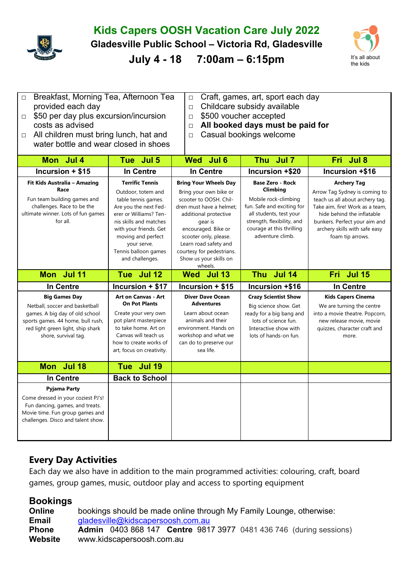## **Kids Capers OOSH Vacation Care July 2022**

**Gladesville Public School – Victoria Rd, Gladesville** 

**July 4 - 18 7:00am – 6:15pm** It's all about



- □ Breakfast, Morning Tea, Afternoon Tea provided each day  $\Box$  \$50 per day plus excursion/incursion
- □ Craft, games, art, sport each day
- □ Childcare subsidy available
- costs as advised

□ All children must bring lunch, hat and water bottle and wear closed in shoes

- □ \$500 voucher accepted
- □ **All booked days must be paid for**
- □ Casual bookings welcome

| Mon Jul 4                                                                                                                                                                                  | Tue Jul 5                                                                                                                                                                                                                                                  | Wed Jul 6                                                                                                                                                                                                                                                                                   | Thu Jul 7                                                                                                                                                                                           | Fri Jul 8                                                                                                                                                                                                                                     |
|--------------------------------------------------------------------------------------------------------------------------------------------------------------------------------------------|------------------------------------------------------------------------------------------------------------------------------------------------------------------------------------------------------------------------------------------------------------|---------------------------------------------------------------------------------------------------------------------------------------------------------------------------------------------------------------------------------------------------------------------------------------------|-----------------------------------------------------------------------------------------------------------------------------------------------------------------------------------------------------|-----------------------------------------------------------------------------------------------------------------------------------------------------------------------------------------------------------------------------------------------|
| Incursion + \$15                                                                                                                                                                           | <b>In Centre</b>                                                                                                                                                                                                                                           | <b>In Centre</b>                                                                                                                                                                                                                                                                            | Incursion +\$20                                                                                                                                                                                     | Incursion +\$16                                                                                                                                                                                                                               |
| Fit Kids Australia - Amazing<br>Race<br>Fun team building games and<br>challenges. Race to be the<br>ultimate winner. Lots of fun games<br>for all.                                        | <b>Terrific Tennis</b><br>Outdoor, totem and<br>table tennis games.<br>Are you the next Fed-<br>erer or Williams? Ten-<br>nis skills and matches<br>with your friends. Get<br>moving and perfect<br>your serve.<br>Tennis balloon games<br>and challenges. | <b>Bring Your Wheels Day</b><br>Bring your own bike or<br>scooter to OOSH. Chil-<br>dren must have a helmet;<br>additional protective<br>gear is<br>encouraged. Bike or<br>scooter only, please.<br>Learn road safety and<br>courtesy for pedestrians.<br>Show us your skills on<br>wheels. | <b>Base Zero - Rock</b><br>Climbing<br>Mobile rock-climbing<br>fun. Safe and exciting for<br>all students, test your<br>strength, flexibility, and<br>courage at this thrilling<br>adventure climb. | <b>Archery Tag</b><br>Arrow Tag Sydney is coming to<br>teach us all about archery tag.<br>Take aim, fire! Work as a team,<br>hide behind the inflatable<br>bunkers. Perfect your aim and<br>archery skills with safe easy<br>foam tip arrows. |
| Mon Jul 11                                                                                                                                                                                 | Tue Jul 12                                                                                                                                                                                                                                                 | Wed Jul 13                                                                                                                                                                                                                                                                                  | Thu Jul 14                                                                                                                                                                                          | Fri Jul 15                                                                                                                                                                                                                                    |
| In Centre                                                                                                                                                                                  | Incursion + \$17                                                                                                                                                                                                                                           | $ncursion + $15$                                                                                                                                                                                                                                                                            | Incursion +\$16                                                                                                                                                                                     | <b>In Centre</b>                                                                                                                                                                                                                              |
| <b>Big Games Day</b><br>Netball, soccer and basketball<br>games. A big day of old school<br>sports games. 44 home, bull rush,<br>red light green light, ship shark<br>shore, survival tag. | <b>Art on Canvas - Art</b><br><b>On Pot Plants</b><br>Create your very own<br>pot plant masterpiece<br>to take home. Art on<br>Canvas will teach us<br>how to create works of<br>art, focus on creativity.                                                 | <b>Diver Dave Ocean</b><br><b>Adventures</b><br>Learn about ocean<br>animals and their<br>environment. Hands on<br>workshop and what we<br>can do to preserve our<br>sea life.                                                                                                              | <b>Crazy Scientist Show</b><br>Big science show. Get<br>ready for a big bang and<br>lots of science fun.<br>Interactive show with<br>lots of hands-on fun.                                          | <b>Kids Capers Cinema</b><br>We are turning the centre<br>into a movie theatre. Popcorn,<br>new release movie, movie<br>quizzes, character craft and<br>more.                                                                                 |
| Mon Jul 18                                                                                                                                                                                 | Tue Jul 19                                                                                                                                                                                                                                                 |                                                                                                                                                                                                                                                                                             |                                                                                                                                                                                                     |                                                                                                                                                                                                                                               |
| In Centre                                                                                                                                                                                  | <b>Back to School</b>                                                                                                                                                                                                                                      |                                                                                                                                                                                                                                                                                             |                                                                                                                                                                                                     |                                                                                                                                                                                                                                               |
| <b>Pyjama Party</b><br>Come dressed in your coziest PJ's!<br>Fun dancing, games, and treats.<br>Movie time. Fun group games and<br>challenges. Disco and talent show.                      |                                                                                                                                                                                                                                                            |                                                                                                                                                                                                                                                                                             |                                                                                                                                                                                                     |                                                                                                                                                                                                                                               |

## **Every Day Activities**

Each day we also have in addition to the main programmed activities: colouring, craft, board games, group games, music, outdoor play and access to sporting equipment

## **Bookings**

| <b>Online</b> | bookings should be made online through My Family Lounge, otherwise:              |  |  |  |  |  |  |
|---------------|----------------------------------------------------------------------------------|--|--|--|--|--|--|
| <b>Email</b>  | gladesville@kidscapersoosh.com.au                                                |  |  |  |  |  |  |
| <b>Phone</b>  | <b>Admin</b> 0403 868 147 <b>Centre</b> 9817 3977 0481 436 746 (during sessions) |  |  |  |  |  |  |
| Website       | www.kidscapersoosh.com.au                                                        |  |  |  |  |  |  |